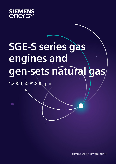

# **SGE-S series gas engines and gen-sets natural gas**

1,200/1,500/1,800 rpm

siemens-energy.com/gasengines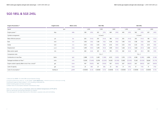| Engine Parameters <sup>2)</sup>                          | <b>English Units</b> | <b>Metric Units</b> |         |           |           | SGE-18SL |         |          |         |           |         | SGE-24SL  |         |          |
|----------------------------------------------------------|----------------------|---------------------|---------|-----------|-----------|----------|---------|----------|---------|-----------|---------|-----------|---------|----------|
| Speed                                                    | rpm                  |                     |         | 1,200     |           | 1,500    |         | 1,800    |         | 1,200     |         | 1,500     |         | 1,800    |
| Engine power <sup>2)</sup>                               | bhp                  | kWb                 | 338     | (252)     | 422       | (315)    | 469     | (350)    | 449     | (335)     | 562     | (419)     | 607     | (453)    |
| Cylinder arrangement                                     |                      |                     |         |           | in Line 6 |          |         |          |         |           |         | in Line 8 |         |          |
| Mean effective pressure                                  | psi                  | bar                 | 203     | (14.0)    | 203       | (14.0)   | 188     | (13.0)   | 203     | (14.0)    | 203     | (14.0)    | 183     | (12.6)   |
| Bore                                                     | inch                 | mm                  | 5.98    | (152)     | 5.98      | (152)    | 5.98    | (152)    | 5.98    | (152)     | 5.98    | (152)     | 5.98    | (152)    |
| Stroke                                                   | inch                 | mm                  | 6.50    | (165)     | 6.50      | (165)    | 6.50    | (165)    | 6.50    | (165)     | 6.50    | (165)     | 6.50    | (165)    |
| Displacement                                             | cu.in                | Liters              | 1,095   | (18.0)    | 1,095     | (18.0)   | 1,095   | (18.0)   | 1,460   | (24.0)    | 1,460   | (24.0)    | 1,460   | (24.0)   |
| Mean piston speed                                        | in/s                 | m/s                 | 260     | (6.6)     | 325       | (8.3)    | 390     | (9.9)    | 260     | (6.6)     | 325     | (8.3)     | 390     | (9.9)    |
| Compression ratio                                        |                      |                     |         |           | 11.6:1    |          |         |          |         |           |         | 11.6:1    |         |          |
| Combustion air mass flow                                 | lbs/hr               | kg/h                | 2,888   | (1,310)   | 3,483     | (1,580)  | 4,012   | (1,820)  | 3,792   | (1,720)   | 4,586   | (2,080)   | 4,806   | (2,180)  |
| Packaged ventilation air flow <sup>2)</sup>              | scfm                 | m <sup>3</sup> /h   | 10,383  | (17, 640) | 12,978    | (22,050) | 14,420  | (24,500) | 13,802  | (23, 450) | 17,263  | (29, 330) | 18,664  | (31,710) |
| Engine coolant capacity (Main circuit / Aux. circuit) 3) | gal.                 | Liters              | 19/7    | (70/25)   | 19/7      | (70/25)  | 19/7    | (70/25)  | 24/7    | (90/25)   | 24/7    | (90/25)   | 24/7    | (90/25)  |
| Lube oil capacity                                        | gal.                 | Liters              | 23      | (86)      | 23        | (86)     | 23      | (86)     | 31      | (116)     | 31      | (116)     | 31      | (116)    |
| Lube oil consumption <sup>4)</sup>                       | lbs/bhp.hr           | g/kWh               | 0.00058 | (0.35)    | 0.00058   | (0.35)   | 0.00058 | (0.35)   | 0.00058 | (0.35)    | 0.00058 | (0.35)    | 0.00058 | (0.35)   |
|                                                          |                      |                     |         |           |           |          |         |          |         |           |         |           |         |          |

### **SGE-18SL & SGE-24SL**

1) Natural Gas MN80. For other MN consult Siemens Energy

2) Engine performance data acc. to ISO 3046/1 **(LHV 38500 KJ/m<sup>n</sup> 3 - 970 Btu/SCF) for performance on alternate gases consult DR)**

3) Assumes intake air flow at delta  $T = 5^{\circ}$ C including combustion air

4) Not Including pipes and heat exchangers

5) Mean lube oil consumption between maintenance steps

Data is for continuous rating, **at sea level, and at an ambient temperature of 77F (25ºC)** Data for special gas and dual gas operation on request. The values given in this data sheet are for information purposes only and not binding.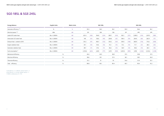| <b>English Units</b> | <b>Metric Units</b> |                      |       |                                     |       |                                                       |       |                                           |       |                                             |         |                                                         |         |
|----------------------|---------------------|----------------------|-------|-------------------------------------|-------|-------------------------------------------------------|-------|-------------------------------------------|-------|---------------------------------------------|---------|---------------------------------------------------------|---------|
| $\%$                 | $\%$                | 95.5                 |       |                                     |       |                                                       |       |                                           |       |                                             |         | 96.1                                                    |         |
| kWe                  | kW                  |                      |       |                                     |       |                                                       |       |                                           |       |                                             |         |                                                         | 435     |
| Btu x 1,000/hr       | kW                  | 621.4                | (182) | 764.8                               | (224) | 829.7                                                 | (243) | 932.1                                     | (273) | 1,058.5                                     | (310)   | 1,297.5                                                 | (380)   |
| Btu x 1,000/hr       | kW                  | 140                  | (41)  | 136.6                               | (40)  | 228.8                                                 | (67)  | 184.4                                     | (54)  | 204.9                                       | (60)    | 262.9                                                   | (77)    |
| Btu x 1,000/hr       | kW                  | 331.2                | (97)  | 450.7                               | (132) | 570.2                                                 | (167) | 539.5                                     | (158) | 600.9                                       | (176)   | 713.6                                                   | (208)   |
| Btu x 1,000/hr       | kW                  | 34.1                 | (10)  | 54.6                                | (16)  | 51.2                                                  | (15)  | 51.2                                      | (15)  | 71.7                                        | (21)    | 68.3                                                    | (20)    |
| Btu x 1,000/hr       | kW                  | 38.7                 | (11)  | 37.6                                | (11)  | 46.6                                                  | (14)  | 46.9                                      | (14)  | 48.6                                        | (14)    | 60.3                                                    | (18)    |
| Btu x 1,000/hr       | kW                  | 2,130.6              | (624) | 2,653                               | (777) | 3,073                                                 | (900) | 3,035.4                                   | (859) | 3,592                                       | (1,052) | 4,124.6                                                 | (1,208) |
|                      |                     |                      |       |                                     |       |                                                       |       |                                           |       |                                             |         |                                                         | 37.5    |
|                      |                     |                      |       |                                     |       |                                                       |       |                                           |       |                                             |         |                                                         | 36.0    |
|                      |                     |                      |       |                                     |       |                                                       |       |                                           |       |                                             |         | 55.1                                                    |         |
|                      | $\%$                |                      |       |                                     |       |                                                       |       |                                           |       |                                             |         |                                                         | 91.2    |
|                      |                     | $\%$<br>$\%$<br>$\%$ |       | 241<br>40.4<br>38.6<br>51.3<br>89.8 |       | SGE-18SL<br>96.5<br>304<br>40.5<br>39.1<br>51<br>90.1 |       | 96.1<br>336<br>38.9<br>37.4<br>53<br>90.4 |       | 95.9<br>321<br>37.5<br>36.1<br>54.6<br>90.7 |         | SGE-24SL<br>96.6<br>405<br>39.8<br>38.5<br>51.9<br>90.4 |         |

5) At 60 Hz,  $U = 0.48$  kV, power factor = 1 6) At 50 Hz,  $U = 0.4$  kV, power factor = 1 7) With a tolerance of  $+5\%$ 

# **SGE-18SL & SGE-24SL**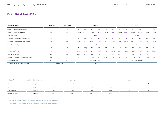| Emissions <sup>8)</sup> | <b>English Units Metric Units</b> |          | SGE-18SL |       |          | SGE-24SL |          |
|-------------------------|-----------------------------------|----------|----------|-------|----------|----------|----------|
| <b>NOx</b>              | g/bhp.hr                          | $\leq$ 1 | < 1.1    | < 1   | $\leq$ 1 | < 1.1    | $\leq$ 1 |
| CO                      | g/bhp.hr                          | < 1.8    | < 1.8    | < 1.8 | < 1.8    | < 1.8    | < 1.8    |
| THC (in C1base)         | g/bhp.hr                          | < 3.5    | < 3.5    | < 3.5 | < 3.5    | < 3.5    | 5.5      |
| NMHC (in C1 base)       | g/bhp.hr                          | < 0.7    | < 0.7    | < 0.7 | < 0.7    | < 0.7    | < 0.7    |

| <b>System Parameters</b>                      | <b>English Units</b> | <b>Metric Units</b> | SGE-18SL                |         |         |         |         |         |         |         |         | SGE-24SL                |         |         |
|-----------------------------------------------|----------------------|---------------------|-------------------------|---------|---------|---------|---------|---------|---------|---------|---------|-------------------------|---------|---------|
| Jacket (HT) water temperature max.            | $^{\circ}$ F         | $^{\circ}$ C        | 194                     | (90)    | 194     | (90)    | 194     | (90)    | 194     | (90)    | 194     | (90)                    | 194     | (90)    |
| Jacket (HT) water flow rate min/max.          | gpm                  | m <sup>3</sup> /h   | 110/264                 | (25/60) | 150/264 | (34/60) | 150/264 | (34/60) | 167/264 | (38/60) | 189/264 | (43/60)                 | 233/264 | (53/60) |
| Intercooler stages                            |                      |                     |                         |         |         | Single  |         |         |         |         |         | Single                  |         |         |
| Intercooler (LT) coolant temperature max.     | $^{\circ}$ F         | $^{\circ}C$         | 131                     | (55)    | 131     | (55)    | 131     | (55)    | 131     | (55)    | 131     | (55)                    | 131     | (55)    |
| Intercooler (LT) coolant flow rate min/max    | gpm                  | m <sup>3</sup> /h   | 66/132                  | (15/30) | 88/132  | (20/30) | 110/132 | (25/30) | 66/132  | (15/30) | 88/132  | (20/30)                 | 110/132 | (25/30) |
| Exhaust manifold type                         |                      |                     | Wet                     |         |         |         |         |         |         |         |         | Wet                     |         |         |
| Exhaust temperature                           | $^{\circ}$ F         | $^{\circ}C$         | 651                     | (344)   | 702     | (372)   | 747     | (397)   | 747     | (397)   | 709     | (376)                   | 768     | (409)   |
| Exhaust mass flow wet                         | lbs/hr               | kg/h                | 2,998                   | (1,360) | 3,616   | (1,640) | 4,167   | (1,890) | 3,924   | (1,780) | 4,762   | (2,160)                 | 4,982   | (2,260) |
| Exhaust back-pressure max.                    | psi                  | mbar                | 0.65                    | (45)    | 0.65    | (45)    | 0.65    | (45)    | 0.65    | (45)    | 0.65    | (45)                    | 0.65    | (45)    |
| Maximum pressure loss in front of air cleaner | psi                  | mbar                | 0.073                   | (5)     | 0.073   | (5)     | 0.073   | (5)     | 0.073   | (5)     | 0.073   | (5)                     | 0.073   | (5)     |
| Fuel pressure range                           | psi                  | mbar                | $0.73 - 3.48(50 - 240)$ |         |         |         |         |         |         |         |         | $0.73 - 3.48(50 - 240)$ |         |         |
| Starter battery 2x12 V, capacity required     | Ampere-hour          |                     | 280                     |         |         |         |         |         |         |         | 280     |                         |         |         |

# **SGE-18SL & SGE-24SL**

8) Lower emission engines are available; contact a sales representative for performance data

- Engine performance data acc. to ISO 3046/1

- The values given in this data sheet are for information purposes only and not binding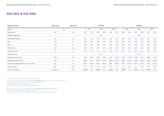### **SGE-36SL & SGE-48SL**

| <b>Engine Parameters</b>                                 | <b>English Units</b> | <b>Metric Units</b> |         |          |         | SGE-36SL |         |          |         |          |         | SGE-48SL |         |           |
|----------------------------------------------------------|----------------------|---------------------|---------|----------|---------|----------|---------|----------|---------|----------|---------|----------|---------|-----------|
| Speed                                                    | rpm                  |                     |         | 1,200    |         | 1,500    |         | 1,800    |         | 1,200    |         | 1,500    | 1,800   |           |
| Engine power                                             | bhp                  | kWb                 | 675     | (503)    | 845     | (630)    | 939     | (700)    | 898     | (670)    | 1124    | (838)    | 1215    | (906)     |
| Cylinder arrangement                                     |                      |                     |         |          |         | V12      |         |          |         |          |         | V16      |         |           |
| Mean effective pressure                                  | psi                  | bar                 | 203     | (14.0)   | 203     | (14.0)   | 188     | (13.0)   | 203     | (14.0)   | 203     | (14.0)   | 183     | (12.6)    |
| Bore                                                     | inch                 | mm                  | 5.98    | (152)    | 5.98    | (152)    | 5.98    | (152)    | 5.98    | (152)    | 5.98    | (152)    | 5.98    | (152)     |
| Stroke                                                   | inch                 | mm                  | 6.50    | (165)    | 6.50    | (165)    | 6.50    | (165)    | 6.50    | (165)    | 6.50    | (165)    | 6.50    | (165)     |
| Displacement                                             | cu.in                | Liters              | 2,191   | (35.9)   | 2,191   | (35.9)   | 2,191   | (35.9)   | 2,921   | (47, 9)  | 2,921   | (47, 9)  | 2,921   | (47, 9)   |
| Mean piston speed                                        | in/s                 | m/s                 | 260     | (6.6)    | 325     | (8.3)    | 390     | (9.9)    | 260     | (6.6)    | 325     | (8.3)    | 390     | (9.9)     |
| Compression ratio                                        |                      |                     |         |          |         | 11.6:1   |         |          |         |          |         | 11.6:1   |         |           |
| Combustion air mass flow                                 | lbs/hr               | kg/h                | 5,578   | (2,530)  | 7,033   | (3,190)  | 7,915   | (3,590)  | 7,250   | (3,470)  | 9,178   | (4, 163) | 9,833   | (4,460)   |
| Packaged ventilation air flow <sup>2)</sup>              | scfm                 | m <sup>3</sup> /h   | 20,724  | (35,210) | 25,956  | (44,100) | 28,840  | (49.000) | 27,604  | (46,900) | 34,526  | (58,600) | 37,328  | (63, 420) |
| Engine coolant capacity (Main circuit / Aux. circuit) 3) | gal.                 | Liters              | 48/11   | (180/40) | 48/11   | (180/40) | 48/11   | (180/40) | 53/13   | (200/50) | 53/13   | (200/50) | 53/13   | (200/50)  |
| Lube oil capacity <sup>3)</sup>                          | gal.                 | Liters              | 46      | (174)    | 46      | (174)    | 46      | (174)    | 62      | (233)    | 52      | (233)    | 62      | (233)     |
| Lube oil consumption <sup>4)</sup>                       | lbs/bhp.hr           | g/kWh               | 0.00058 | (0.35)   | 0.00058 | (0.35)   | 0.00058 | (0.35)   | 0.00058 | (0.35)   | 0.00058 | (0.35)   | 0.00058 | (0.35)    |

1) Natural Gas MN80. For other MN consult Siemens Energy

2) Engine performance data acc. to ISO 3046/1 **(LHV 38500 KJ/m<sup>n</sup> 3 - 970 Btu/SCF) for performance on alternate gases consult DR)**

3) Assumes intake air flow at delta  $T = 5^{\circ}$ C including combustion air

4) Not Including pipes and heat exchangers

5) Mean lube oil consumption between maintenance steps

Data is for continuous rating, **at sea level, and at an ambient temperature of 77F (25ºC)** Data for special gas and dual gas operation on request. The values given in this data sheet are for information purposes only and not binding.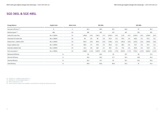#### **SGE-36SL & SGE-48SL**

| <b>Energy Balance</b>                | <b>English Units</b> | <b>Metric Units</b> |         |         |         | SGE-36SL |         |         |         |         |         | SGE-48SL |         |         |
|--------------------------------------|----------------------|---------------------|---------|---------|---------|----------|---------|---------|---------|---------|---------|----------|---------|---------|
| Generator efficiency <sup>6)7)</sup> | $\%$                 | $\frac{0}{0}$       |         | 96.3    | 96.9    |          | 96.7    |         |         | 96.6    |         | 97       |         | 96.3    |
| Electrical power <sup>6) 7)</sup>    | kWe                  | kW                  |         | 485     | 610     |          | 677     |         |         | 647     | 813     |          | 873     |         |
| Jacket (HT) water heat               | Btu x 1,000/hr       | kW                  | 1,495,5 | (438)   | 1,765.3 | (517)    | 2,004.3 | (587)   | 2,175   | (637)   | 2,355.9 | (690)    | 2,799.8 | (820)   |
| Intercooler (LT) water heat          | Btu x 1,000/hr       | kW                  | 99      | (29)    | 99      | (29)     | 143.4   | (42)    | 119.5   | (35)    | 160.5   | (47)     | 177.5   | (52)    |
| Exhaust heat - cooled to 120°C       | Btu x 1,000/hr       | kW                  | 645.3   | (189)   | 901.4   | (264)    | 1,106.3 | (324)   | 1,051.6 | (308)   | 1,215.5 | (356)    | 1,597.9 | (468)   |
| Engine radiation heat                | Btu x 1,000/hr       | kW                  | 58.0    | (17)    | 92.2    | (27)     | 102.4   | (30)    | 68.3    | (20)    | 112.7   | (33)     | 112.7   | (33)    |
| Generator radiation heat             | Btu x 1,000/hr       | kW                  | 62.3    | (18)    | 66.7    | (21)     | 78.9    | (23)    | 77.8    | (23)    | 85.8    | (25)     | 112.9   | (33)    |
| Fuel consumption <sup>7)</sup>       | Btu x 1,000/hr       | kW                  | 4.288,5 | (1,256) | 5,353.8 | (1, 568) | 6,132.3 | (1,796) | 6,074.3 | (1,779) | 7.153.2 | (2,095)  | 8,262.9 | (2,420) |
| Mechanical efficiency                | $\%$                 |                     |         | 40      | 40.2    |          |         | 39      | 37.7    |         |         | 40       | 37.4    |         |
| Electrical efficiency                | $\%$                 |                     |         | 38.6    | 38.9    |          | 37.7    |         |         | 36.4    |         | 38.8     |         | 36.0    |
| Thermal efficiency                   | $\%$                 |                     |         | 52.2    | 51.7    |          | 53.     |         | 55.1    |         |         | 52.2     | 55.4    |         |
| Total efficiency                     | $\%$                 |                     |         | 90.8    |         | 90.6     | 90.8    |         |         | 91.5    |         | 91       | 91.4    |         |

6) At 60 Hz,  $U = 0.48$  kV, power factor = 1

7) At 50 Hz,  $U = 0.4$  kV, power factor = 1

8) With a tolerance of  $+5%$ 

9) Lower emission engines are available, consult Siemens Energy for performance data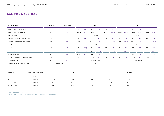# **SGE-36SL & SGE-48SL**

| Emissions <sup>8)</sup> | <b>English Units Metric Units</b> |       | SGE-36SL |          |       | SGE-48SL |       |
|-------------------------|-----------------------------------|-------|----------|----------|-------|----------|-------|
| <b>NOx</b>              | g/bhp.hr                          |       | < 1.1    | $\leq$ 1 |       | < 1.1    |       |
| CO                      | g/bhp.hr                          | < 1.8 | < 1.8    | < 1.8    | < 1.8 | < 1.8    | < 1.8 |
| THC (in C1base)         | g/bhp.hr                          | < 3.5 | < 3.5    | < 3.5    | < 3.5 | < 3.5    | < 3.5 |
| NMHC (in C1 base)       | g/bhp.hr                          | < 0.7 | < 0.7    | < 0.7    | < 0.7 | < 0.7    | < 0.7 |

| <b>System Parameters</b>                      | <b>English Units</b> | <b>Metric Units</b> | SGE-36SL                |         |        |         |         |         |         |         |                         | SGE-48SL |         |         |
|-----------------------------------------------|----------------------|---------------------|-------------------------|---------|--------|---------|---------|---------|---------|---------|-------------------------|----------|---------|---------|
| Jacket (HT) water temperature max.            | $^{\circ}$ F         | $\rm ^{o}C$         | 194                     | (90)    | 194    | (90)    | 194     | (90)    | 194     | (90)    | 194                     | (90)     | 194     | (90)    |
| Jacket (HT) water flow rate min/max.          | gpm                  | m <sup>3</sup> /h   | 132/308                 | (30/70) | 59/308 | (36/70) | 181/308 | (41/70) | 194/308 | (44/70) | 211/308                 | (48/70)  | 251/308 | (57/70) |
| Intercooler stages                            |                      |                     | Double                  |         |        |         |         |         |         |         |                         | Double   |         |         |
| Intercooler (LT) coolant temperature max.     | $^{\circ}$           | $^{\circ}$ C        | 131                     | (55)    | 131    | (55)    | 131     | (55)    | 131     | (55)    | 131                     | (55)     | 131     | (55)    |
| Intercooler (LT) coolant flow rate min/max    | gpm                  | $m^3/h$             | 66/132                  | (15/30) | 88/132 | (20/30) | 110/132 | (25/30) | 66/132  | (15/30) | 88/132                  | (20/30)  | 110/132 | (25/30) |
| Exhaust manifold type                         |                      |                     |                         | Wet     |        |         |         |         |         |         |                         | Wet      |         |         |
| Exhaust temperature                           | $^{\circ}$           | $^{\circ}$ C        | 655                     | (346)   | 698    | (370)   | (738)   | (392)   | 729     | (387)   | 712                     | (378)    | 815     | (435)   |
| Exhaust mass flow wet                         | lbs/hr               | kg/h                | 5,776                   | (2,620) | 7,297  | (3,310) | 8,210   | (3,720) | 7,937   | (3,600) | 9,524                   | (4,320)  | 10,229  | (4,640) |
| Exhaust back-pressure max.                    | psi                  | mbar                | 0.65                    | (45)    | 0.65   | (45)    | 0.65    | (45)    | 0.65    | (45)    | 0.65                    | (45)     | 0.65    | (45)    |
| Maximum pressure loss in front of air cleaner | psi                  | mbar                | 0.073                   | (5)     | 0.073  | (5)     | 0.073   | (5)     | 0.073   | (5)     | 0.073                   | (5)      | 0.073   | (5)     |
| Fuel pressure range                           | psi                  | mbar                | $0.73 - 3.48(50 - 240)$ |         |        |         |         |         |         |         | $0.73 - 3.48(50 - 240)$ |          |         |         |
| Starter battery 2x12 V, capacity required     | Ampere-hour          |                     | 280                     |         |        |         |         |         |         | 280     |                         |          |         |         |

8) With a tolerance of + 5 %

9) Lower emission engines are available, consult Siemens Energy for performance data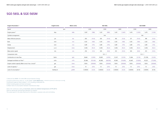| Engine Parameters <sup>2)</sup>                          | <b>English Units</b> | <b>Metric Units</b> |         |          | SGE-56SL |          |         |           | SGE-56SM |           |           |          |
|----------------------------------------------------------|----------------------|---------------------|---------|----------|----------|----------|---------|-----------|----------|-----------|-----------|----------|
| Speed                                                    | rpm                  |                     |         | 1,200    |          | 1,500    |         | 1,800     |          | 1,500     |           | 1,800    |
| Engine power <sup>2)</sup>                               | bhp                  | kWb                 | 1,057   | (788)    | 1,321    | (985)    | 1,431   | (1,067)   | 1,415    | (1,055)   | 1,475     | (1,100)  |
| Cylinder arrangement                                     |                      |                     |         |          |          | V16      |         |           |          |           | V16       |          |
| Mean effective pressure                                  | psi                  | bar                 | 203     | (14.0)   | 203      | (14.0)   | 183     | (12.6)    | 217      | (15.0)    | 189       | (13.0)   |
| Bore                                                     | inch                 | mm                  | 6.03    | (160)    | 6.30     | (160)    | 6.30    | (160)     | 6.30     | (160)     | 6.30      | (160)    |
| Stroke                                                   | inch                 | mm                  | 6.89    | (175)    | 6.89     | (175)    | 6.89    | (175)     | 6.89     | (175)     | 6.89      | (175)    |
| Displacement                                             | cu.in                | Liters              | 3,436   | (56.3)   | 3,436    | (56.3)   | 3,436   | (56.3)    | 3,436    | (56.3)    | 3,436     | (56.3)   |
| Mean piston speed                                        | in/s                 | m/s                 | 276     | (7.0)    | 344      | (8.8)    | 413     | (10.5)    | 344      | (8.8)     | 413       | (10.5)   |
| Compression ratio                                        |                      |                     |         |          |          | 12.3:1   |         |           |          |           | 12.3:1    |          |
| Combustion air mass flow                                 | lbs/hr               | kg/h                | 8,664   | (3,930)  | 10,825   | (4, 910) | 12,147  | (5, 510)  | 11,266   | (5, 110)  | (11, 729) | (5,320)  |
| Packaged ventilation air flow <sup>2)</sup>              | scfm                 | $m^3/h$             | 32,466  | (55,160) | 40,582   | (68,950) | 43,961  | (74, 690) | 43,467   | (73, 850) | 45,321    | (77,000) |
| Engine coolant capacity (Main circuit / Aux. circuit) 3) | gal.                 | Liters              | 53/16   | (200/60) | 53/16    | (200/60) | 53/16   | (200/60)  | 53/16    | (200/60)  | 53/16     | (200/60) |
| Lube oil capacity <sup>3)</sup>                          | gal.                 | Liters              | 72      | (272)    | 72       | (272)    | 72      | (272)     | 72       | (272)     | 72        | (272)    |
| Lube oil consumption <sup>4)</sup>                       | lbs/bhp.hr           | g/kWh               | 0.00033 | (0.20)   | 0.00033  | (0.20)   | 0.00033 | (0.20)    | 0.00016  | (0.10)    | 0.00016   | (0.10)   |

### **SGE-56SL & SGE-56SM**

1) Natural Gas MN80. For other MN consult Siemens Energy

2) Engine performance data acc. to ISO 3046/1 **(LHV 38500 KJ/m<sup>n</sup> 3 - 970 Btu/SCF) for performance on alternate gases consult DR)**

3) Assumes intake air flow at delta  $T = 5^{\circ}$ C including combustion air

4) Not Including pipes and heat exchangers

5) Mean lube oil consumption between maintenance steps

Data is for continuous rating, **at sea level, and at an ambient temperature of 77F (25ºC)** Data for special gas and dual gas operation on request. The values given in this data sheet are for information purposes only and not binding.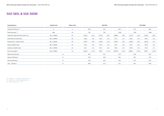| <b>Energy Balance</b>                     | <b>English Units</b> | <b>Metric Units</b> |         |                  |         | SGE-56SL |         |         |         | SGE-56SM |         |         |
|-------------------------------------------|----------------------|---------------------|---------|------------------|---------|----------|---------|---------|---------|----------|---------|---------|
| Generator efficiency <sup>5) 6)</sup>     | $\%$                 | $\%$                |         | 96.8             |         | 97.2     |         | 96.3    |         | 97.2     |         | 96.9    |
| Electrical power <sup>5) 6)</sup>         | kWe                  | kW                  |         | 763              |         | 957      |         | 1,028   |         | 1,025    |         | 1,066   |
| Jacket (HT) water heat (Oil cooler incl.) | Btu x 1,000/hr       | kW                  | 2,267.2 | (664)<br>2,755.4 |         | (807)    | 3,086.6 | (904)   | 2,116.9 | (620)    | 2,352.5 | (689)   |
| Intercooler (LT) water heat               | Btu x 1,000/hr       | kW                  | 136.6   | (40)             | 170.0   | (50)     | 174.1   | (51)    | 218.5   | (64)     | 239.5   | (76)    |
| Exhaust heat - cooled to 120°C            | Btu x 1,000/hr       | kW                  | 1,055.1 | (309)            | 1,444.3 | (423)    | 1,976.9 | (579)   | 2,168.2 | (635)    | 2,461.8 | (721)   |
| Engine radiation heat                     | Btu x 1,000/hr       | kW                  | 102.4   | (30)             | 119.5   | (35)     | 129.7   | (38)    | 170.7   | (50)     | 187.8   | (55)    |
| Generator radiation heat                  | Btu x 1,000/hr       | kW                  | 86.1    | (25)             | 94.2    | (28)     | 134.8   | (39)    | 100.9   | (30)     | 116.4   | (34)    |
| Fuel consumption <sup>7)</sup>            | Btu x 1,000/hr       | kW                  | 6,675.2 | (1, 955)         | 8,379   | (2, 454) | 9,604.8 | (2,813) | 8,826.3 | (2, 585) | 9,591.1 | (2,809) |
| Mechanical efficiency                     |                      | $\%$                |         | 40.3             |         | 40.1     |         | 37.9    |         | 40.8     |         | 39.2    |
| Electrical efficiency                     |                      | $\%$                |         | 39.0             |         | 39.0     |         | 36.5    |         | 39.7     |         | 37.9    |
| Thermal efficiency                        | $\%$                 |                     |         | 51.8             |         | 52.2     |         | 54.5    |         | 51.0     |         | 52.9    |
| Total efficiency                          | $\%$                 |                     |         | 90.8             |         | 91.2     |         | 91.1    |         | 90.7     |         | 90.8    |

6) At 60 Hz,  $U = 0.48$  kV, power factor = 1

7) At 50 Hz,  $U = 0.4$  kV, power factor = 1

8) With a tolerance of  $+5\%$ 

# **SGE-56SL & SGE-56SM**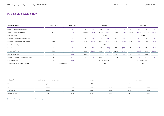# **SGE-56SL & SGE-56SM**

| Emissions <sup>8)</sup> | <b>English Units</b><br><b>Metric Units</b> |          | SGE-56SL |               |       | SGE-56SM |
|-------------------------|---------------------------------------------|----------|----------|---------------|-------|----------|
| <b>NOx</b>              | g/bhp.hr                                    | $\leq$ 1 | $<$ 1.1  |               | < 1.1 | $\lt$ :  |
| CO                      | g/bhp.hr                                    | < 1.8    | < 1.8    | < 1.8         | < 2.2 | < 2.2    |
| THC (in C1 base)        | g/bhp.hr                                    | < 3.5    | < 3.5    | < 3.5         | < 3.5 | < 3.5    |
| NMHC (in C1 base)       | g/bhp.hr<br>___                             | < 0.7    | < 0.7    | < 0.7<br>____ | < 0.7 | < 0.7    |

| <b>System Parameters</b>                      | <b>English Units</b> | <b>Metric Units</b> |                         |         |         | SGE-56SL |         |         |         |         | SGE-56SM                |          |
|-----------------------------------------------|----------------------|---------------------|-------------------------|---------|---------|----------|---------|---------|---------|---------|-------------------------|----------|
| Jacket (HT) water temperature max.            | $^{\circ}$ F         | $^{\circ}$ C        | 194                     | (90)    | 194     | (90)     | 194     | (90)    | 194     | (90)    | 194                     | (90)     |
| Jacket (HT) water flow rate min/max.          | gpm                  | m <sup>3</sup> /h   | 203/308                 | (46/70) | 247/308 | (56/70)  | 277/308 | (63/70) | 189/308 | (43/70) | 211/308                 | (48/70)  |
| Intercooler stages                            |                      |                     | Double                  |         |         |          |         |         |         |         | Double                  |          |
| Intercooler (LT) coolant temperature max.     | °F                   | $^{\circ}$ C        | 131                     | (55)    | 131     | (55)     | 131     | (55)    | 131     | (55)    | 131                     | (55)     |
| Intercooler (LT) coolant flow rate min/max    | gpm                  | m <sup>3</sup> /h   | 66/132                  | (15/30) | 88/132  | (20/30)  | 110/132 | (25/30) | 88/132  | (20/30) | 110/132                 | 25/30    |
| Exhaust manifold type                         |                      |                     | Wet                     |         |         |          |         |         |         |         | Dry                     |          |
| Exhaust temperature                           | $^{\circ}$ F         | $\rm ^{\circ}C$     | 675                     | (357)   | 716     | (308)    | 819     | (437)   | 923     | (495)   | 982                     | (528)    |
| Exhaust mass flow wet                         | lbs/hr               | kg/h                | 8,973                   | (4,070) | 11,222  | (5,090)  | 12,588  | (5,710) | 11,684  | (5,300) | 12,192                  | (5, 530) |
| Exhaust back-pressure max.                    | psi                  | mbar                | 0.65                    | (45)    | 0.65    | (45)     | 0.65    | (45)    | 0.65    | (45)    | 0.65                    | (45)     |
| Maximum pressure loss in front of air cleaner | psi                  | mbar                | 0.073                   | (5)     | 0.073   | (5)      | 0.073   | (5)     | 0.073   | (5)     | 0.073                   | (5)      |
| Fuel pressure range                           | psi                  | mbar                | $0.73 - 3.48(50 - 240)$ |         |         |          |         |         |         |         | $0.73 - 3.48(50 - 240)$ |          |
| Starter battery 2x12 V, capacity required     |                      | Ampere-hour         | 280                     |         |         |          |         |         |         |         | 280                     |          |

9) Lower emission engines are available, consult Siemens Energy for performance data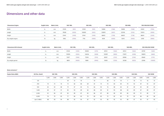# **Dimensions and other data**

| <b>Dimensions Engine</b> | <b>English Units</b> | <b>Metric Units</b> | SGE-18SL |        | SGE-24SL |        | SGE-36SL |        | SGE-48SL |        | SEG-56SL/SGE-56SM |        |  |
|--------------------------|----------------------|---------------------|----------|--------|----------|--------|----------|--------|----------|--------|-------------------|--------|--|
| Width                    | In.                  | mm                  | 37205    | (945)  | 37205    | (945)  | 53858    | (1368) | 53858    | (1368) | 61024             | (1550) |  |
| Length                   | In.                  | mm                  | 79528    | (2020) | 102835   | (2612) | 103819   | (2637) | 123740   | (3143) | 118110            | (3000) |  |
| Height                   | In.                  | mm                  | 57441    | (1459) | 57441    | (1459) | 68425    | (1738) | 68425    | (1738) | 86614             | (2200) |  |
| Dry weight engine        | Ib                   | kq                  | 5952     | (2700) | 7716     | (3500) | 9259     | (4200) | 12015    | (5450) | 12787             | (5800) |  |

| <b>Dimensions 60 Hz Genset</b> | <b>English Units</b> | <b>Metric Units</b> | SGE-18SL |        |        | SGE-24SL | SGE-36SL |        |        | SGE-48SL | SEG-56SL/SGE-56SM |         |  |
|--------------------------------|----------------------|---------------------|----------|--------|--------|----------|----------|--------|--------|----------|-------------------|---------|--|
| Width                          |                      | mm                  | 47244    | (1200) | 50000  | (1270)   | 65512    | (1664) | 65512  | (1664)   | 65709             | (1669)  |  |
| Length                         |                      | mm                  | 119055   | (3024) | 144016 | (3658)   | 150787   | (3830) | 173071 | (4396)   | 183819            | (4669)  |  |
| Height                         | In.                  | mm                  | 72677    | (1846) | 75354  | (1914)   | 83937    | (2132) | 85984  | (2184)   | 85669             | (2176)  |  |
| Dry weight genset              | Ib                   | ka                  | 8818     | (4000) | 10891  | (4940)   | 15939    | (7230) | 20338  | (9225)   | 22046             | (10000) |  |

#### **Noise emissions\***

| <b>Engine Noise dB(A)</b> | HZ (Frec. Band) | SGE-18SL |        |        | SGE-24SL |       |       | SGE-36SL         |       |        |       | SGE-48SL |       | SGE-56SL |       |       | SGE-56SM |       |
|---------------------------|-----------------|----------|--------|--------|----------|-------|-------|------------------|-------|--------|-------|----------|-------|----------|-------|-------|----------|-------|
|                           |                 | 1,200    | 1,500  | 1,800  | 1,200    | 1,500 | 1,800 | 1,200            | 1,500 | 1,800  | 1,200 | 1,500    | 1,800 | 1,200    | 1,500 | 1,800 | 1,500    | 1,800 |
|                           | 125             | $\sim$   | $\sim$ | $\sim$ | 59       | 72    | 70    | $\sim$ 100 $\mu$ | 70    | $\sim$ | 66    | 73       | 70    |          | 76    | 73    | 76       | 73    |
|                           | 250             | 70       | 73     | 76     | 73       | 82    | 86    | 69               | 81    | 74     | 70    | 83       | 84    | 79       | 92    | 87    | 92       | 87    |
|                           | 500             | 82       | 83     | 88     | 79       | 87    | 84    | 76               | 86    | 90     | 76    | 88       | 84    | 81       | 89    | 85    | 89       | 85    |
|                           | 1,000           | 84       | 87     | 91     | 85       | 90    | 89    | 82               | 88    | 85     | 81    | 90       | 88    | 83       | 89    | 87    | 89       | 87    |
|                           | 2,000           | 81       | 84     | 87     | 83       | 89    | 87    | 83               | 86    | 87     | 80    | 89       | 89    | 84       | 89    | 91    | 89       | 91    |
|                           | 4,000           | 76       | 79     | 83     | 77       | 86    | 83    | 79               | 80    | 82     | 73    | 82       | 83    | 79       | 85    | 86    | 85       | 86    |
|                           | LpA, $Σ$ dB(A)  | 88       | 90     | 94     | 88       | 95    | 94    | 87               | 92    | 93     | 85    | 95       | 93    | 89       | 97    | 95    | 97       | 95    |
|                           |                 |          |        |        |          |       |       |                  |       |        |       |          |       |          |       |       |          |       |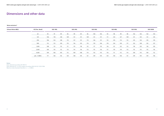Data obtained @ 1 m from engine according UNE-EN ISO-11203:1996 Maximun data Standard Deviation  $s = \pm 4$  dB(A)

#### **Notes:**

Data obtained according ISO 9614-2

### **Dimensions and other data**

#### **Noise emissions\***

| <b>Exhaust Noise dB(A)</b> | HZ (Frec. Band)     | SGE-18SL |     |     | SGE-24SL |     |     | SGE-36SL |     |     | SGE-48SL |     |     | SGE-56SL |     |     | SGE-56SM |     |
|----------------------------|---------------------|----------|-----|-----|----------|-----|-----|----------|-----|-----|----------|-----|-----|----------|-----|-----|----------|-----|
|                            | 63                  | 94       | 97  | 99  | 96       | 99  | 101 | 96       | 100 | 102 | 94       | 98  | 99  | 98       | 102 | 102 | 102      | 103 |
|                            | 125                 | 106      | 118 | 128 | 109      | 121 | 131 | 109      | 121 | 131 | 111      | 124 | 127 | 109      | 121 | 125 | 121      | 125 |
|                            | 250                 | 106      | 124 | 128 | 113      | 127 | 131 | 113      | 126 | 131 | 112      | 125 | 114 | 112      | 125 | 134 | 125      | 135 |
|                            | 500                 | 112      | 113 | 120 | 115      | 116 | 123 | 115      | 119 | 126 | 119      | 124 | 130 | 117      | 122 | 128 | 122      | 127 |
|                            | 1,000               | 108      | 112 | 115 | 111      | 115 | 118 | 112      | 117 | 119 | 116      | 121 | 123 | 113      | 118 | 120 | 118      | 120 |
|                            | 2,000               | 109      | 110 | 112 | 113      | 114 | 116 | 113      | 115 | 116 | 117      | 119 | 119 | 113      | 115 | 115 | 115      | 116 |
|                            | 4,000               | 109      | 106 | 105 | 112      | 109 | 108 | 114      | 110 | 110 | 116      | 111 | 112 | 114      | 109 | 110 | 109      | 112 |
|                            | LpA, $\Sigma$ dB(A) | 117      | 126 | 132 | 120      | 128 | 135 | 121      | 129 | 135 | 124      | 130 | 136 | 121      | 129 | 135 | 129      | 136 |